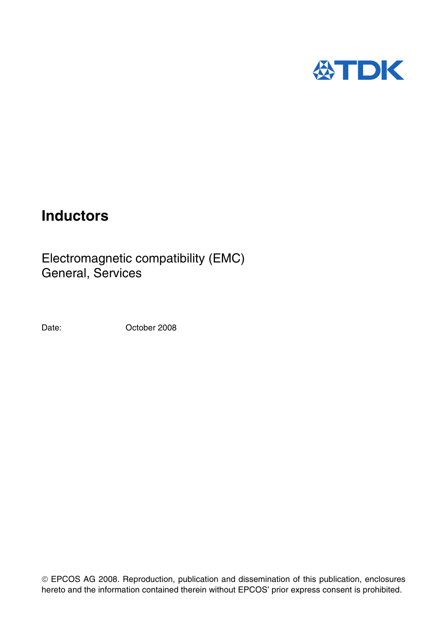

# **Inductors**

Electromagnetic compatibility (EMC) General, Services

Date: Corober 2008

 EPCOS AG 2008. Reproduction, publication and dissemination of this publication, enclosures hereto and the information contained therein without EPCOS' prior express consent is prohibited.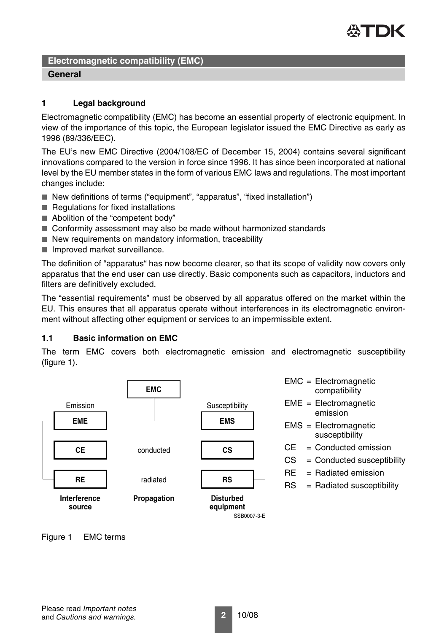

# **General**

### **1 Legal background**

Electromagnetic compatibility (EMC) has become an essential property of electronic equipment. In view of the importance of this topic, the European legislator issued the EMC Directive as early as 1996 (89/336/EEC).

The EU's new EMC Directive (2004/108/EC of December 15, 2004) contains several significant innovations compared to the version in force since 1996. It has since been incorporated at national level by the EU member states in the form of various EMC laws and regulations. The most important changes include:

- New definitions of terms ("equipment", "apparatus", "fixed installation")
- Regulations for fixed installations
- Abolition of the "competent body"
- Conformity assessment may also be made without harmonized standards
- New requirements on mandatory information, traceability
- Improved market surveillance.

The definition of "apparatus" has now become clearer, so that its scope of validity now covers only apparatus that the end user can use directly. Basic components such as capacitors, inductors and filters are definitively excluded.

The "essential requirements" must be observed by all apparatus offered on the market within the EU. This ensures that all apparatus operate without interferences in its electromagnetic environment without affecting other equipment or services to an impermissible extent.

# **1.1 Basic information on EMC**

The term EMC covers both electromagnetic emission and electromagnetic susceptibility [\(figure 1](#page-1-0)).



- EMC = Electromagnetic compatibility
- EME = Electromagnetic emission
- EMS = Electromagnetic susceptibility
- $CE =$  Conducted emission
- $CS =$  Conducted susceptibility
- $RE = Radiated emission$
- $RS = \text{Radiated susceptibility}$

<span id="page-1-0"></span>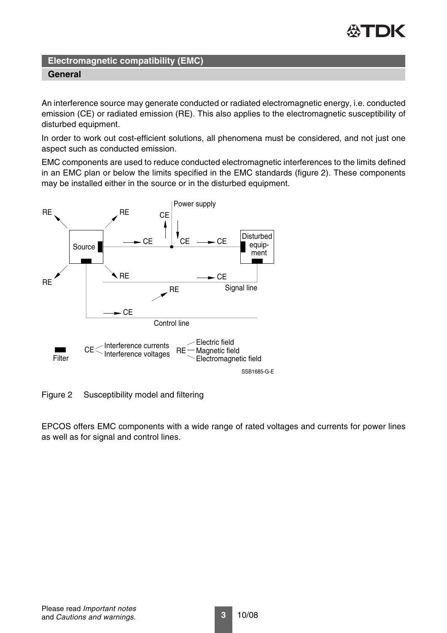

An interference source may generate conducted or radiated electromagnetic energy, i.e. conducted emission (CE) or radiated emission (RE). This also applies to the electromagnetic susceptibility of disturbed equipment.

In order to work out cost-efficient solutions, all phenomena must be considered, and not just one aspect such as conducted emission.

EMC components are used to reduce conducted electromagnetic interferences to the limits defined in an EMC plan or below the limits specified in the EMC standards [\(figure 2\)](#page-2-0). These components may be installed either in the source or in the disturbed equipment.



<span id="page-2-0"></span>Figure 2 Susceptibility model and filtering

EPCOS offers EMC components with a wide range of rated voltages and currents for power lines as well as for signal and control lines.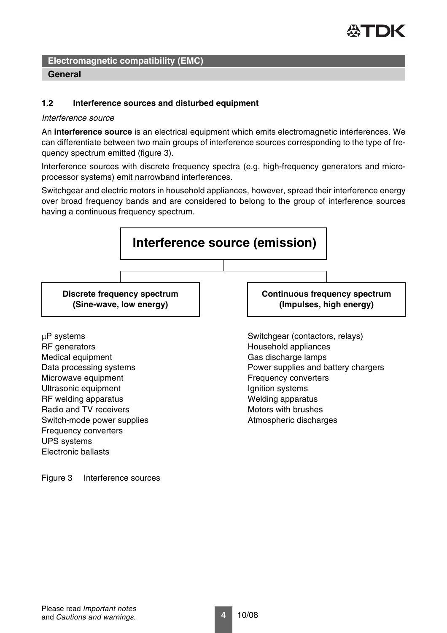

### **1.2 Interference sources and disturbed equipment**

#### *Interference source*

An **interference source** is an electrical equipment which emits electromagnetic interferences. We can differentiate between two main groups of interference sources corresponding to the type of frequency spectrum emitted [\(figure 3\)](#page-3-0).

Interference sources with discrete frequency spectra (e.g. high-frequency generators and microprocessor systems) emit narrowband interferences.

Switchgear and electric motors in household appliances, however, spread their interference energy over broad frequency bands and are considered to belong to the group of interference sources having a continuous frequency spectrum.



<span id="page-3-0"></span>Figure 3 Interference sources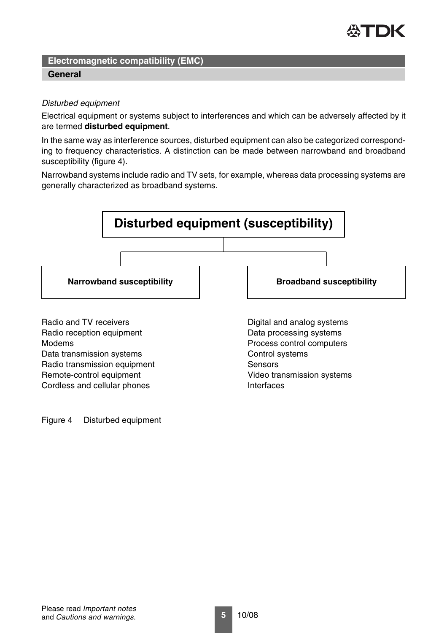

### **General**

### *Disturbed equipment*

Electrical equipment or systems subject to interferences and which can be adversely affected by it are termed **disturbed equipment**.

In the same way as interference sources, disturbed equipment can also be categorized corresponding to frequency characteristics. A distinction can be made between narrowband and broadband susceptibility ([figure 4\)](#page-4-0).

Narrowband systems include radio and TV sets, for example, whereas data processing systems are generally characterized as broadband systems.



<span id="page-4-0"></span>Figure 4 Disturbed equipment

Cordless and cellular phones **Interfaces**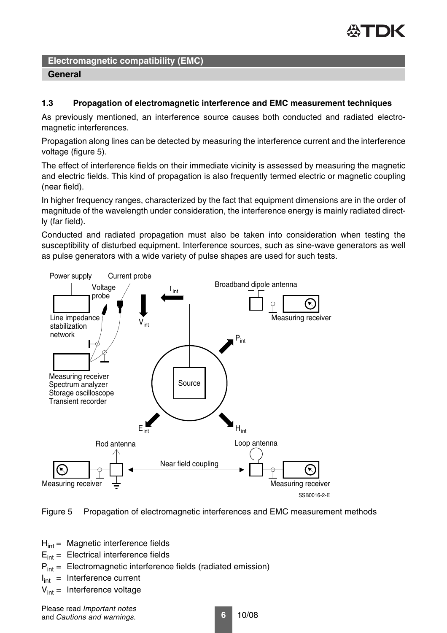

### **1.3 Propagation of electromagnetic interference and EMC measurement techniques**

As previously mentioned, an interference source causes both conducted and radiated electromagnetic interferences.

Propagation along lines can be detected by measuring the interference current and the interference voltage [\(figure 5\)](#page-5-0).

The effect of interference fields on their immediate vicinity is assessed by measuring the magnetic and electric fields. This kind of propagation is also frequently termed electric or magnetic coupling (near field).

In higher frequency ranges, characterized by the fact that equipment dimensions are in the order of magnitude of the wavelength under consideration, the interference energy is mainly radiated directly (far field).

Conducted and radiated propagation must also be taken into consideration when testing the susceptibility of disturbed equipment. Interference sources, such as sine-wave generators as well as pulse generators with a wide variety of pulse shapes are used for such tests.



<span id="page-5-0"></span>Figure 5 Propagation of electromagnetic interferences and EMC measurement methods

 $H<sub>int</sub>$  = Magnetic interference fields

 $E_{\text{int}} =$  Electrical interference fields

 $P_{int}$  = Electromagnetic interference fields (radiated emission)

 $I_{int}$  = Interference current

 $V_{\text{int}}$  = Interference voltage

Please read *Important notes* and *Cautions and warnings*.

**6** 10/08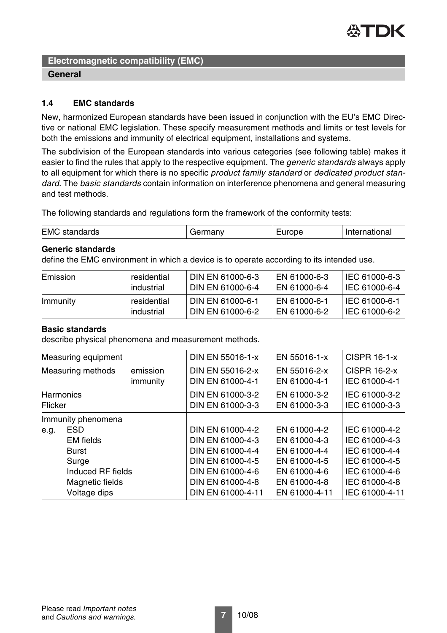

### **1.4 EMC standards**

New, harmonized European standards have been issued in conjunction with the EU's EMC Directive or national EMC legislation. These specify measurement methods and limits or test levels for both the emissions and immunity of electrical equipment, installations and systems.

The subdivision of the European standards into various categories (see following table) makes it easier to find the rules that apply to the respective equipment. The *generic standards* always apply to all equipment for which there is no specific *product family standard* or *dedicated product standard*. The *basic standards* contain information on interference phenomena and general measuring and test methods.

The following standards and regulations form the framework of the conformity tests:

| <b>EMC</b> standards | Germany | Europe | International |
|----------------------|---------|--------|---------------|
|                      |         |        |               |

### **Generic standards**

define the EMC environment in which a device is to operate according to its intended use.

| Emission | residential | <b>DIN EN 61000-6-3</b> | EN 61000-6-3 | I IEC 61000-6-3 |
|----------|-------------|-------------------------|--------------|-----------------|
|          | industrial  | DIN EN 61000-6-4        | EN 61000-6-4 | IEC 61000-6-4   |
| Immunity | residential | l DIN EN 61000-6-1      | EN 61000-6-1 | l IEC 61000-6-1 |
|          | industrial  | DIN EN 61000-6-2        | EN 61000-6-2 | I IEC 61000-6-2 |

# **Basic standards**

describe physical phenomena and measurement methods.

|                | Measuring equipment |                      | <b>DIN EN 55016-1-x</b>              | EN 55016-1-x                 | <b>CISPR 16-1-x</b>                  |
|----------------|---------------------|----------------------|--------------------------------------|------------------------------|--------------------------------------|
|                | Measuring methods   | emission<br>immunity | DIN EN 55016-2-x<br>DIN EN 61000-4-1 | EN 55016-2-x<br>EN 61000-4-1 | <b>CISPR 16-2-x</b><br>IEC 61000-4-1 |
| <b>Flicker</b> | <b>Harmonics</b>    |                      | DIN EN 61000-3-2<br>DIN EN 61000-3-3 | EN 61000-3-2<br>EN 61000-3-3 | IEC 61000-3-2<br>IEC 61000-3-3       |
|                | Immunity phenomena  |                      |                                      |                              |                                      |
| e.g.           | <b>ESD</b>          |                      | DIN EN 61000-4-2                     | EN 61000-4-2                 | IEC 61000-4-2                        |
|                | <b>EM</b> fields    |                      | DIN EN 61000-4-3                     | EN 61000-4-3                 | IEC 61000-4-3                        |
|                | <b>Burst</b>        |                      | DIN EN 61000-4-4                     | EN 61000-4-4                 | IEC 61000-4-4                        |
|                | Surge               |                      | DIN EN 61000-4-5                     | EN 61000-4-5                 | IEC 61000-4-5                        |
|                | Induced RF fields   |                      | DIN EN 61000-4-6                     | EN 61000-4-6                 | IEC 61000-4-6                        |
|                | Magnetic fields     |                      | DIN EN 61000-4-8                     | EN 61000-4-8                 | IEC 61000-4-8                        |
|                | Voltage dips        |                      | DIN EN 61000-4-11                    | EN 61000-4-11                | IEC 61000-4-11                       |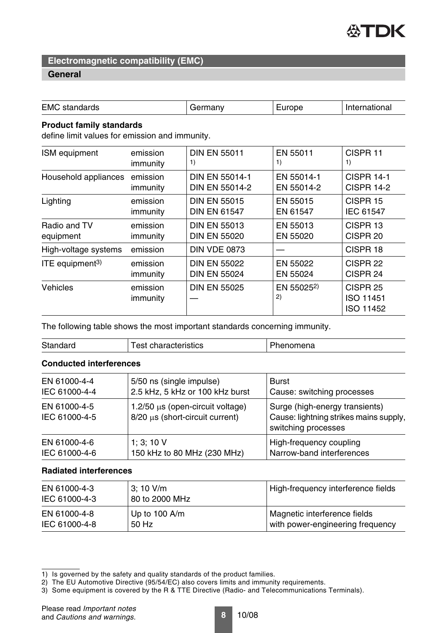

### **General**

| <b>EMC</b> standards                                                              |                      | Germany               | Europe                       | International                                 |  |
|-----------------------------------------------------------------------------------|----------------------|-----------------------|------------------------------|-----------------------------------------------|--|
| <b>Product family standards</b><br>define limit values for emission and immunity. |                      |                       |                              |                                               |  |
| ISM equipment                                                                     | emission             | <b>DIN EN 55011</b>   | EN 55011                     | CISPR <sub>11</sub>                           |  |
|                                                                                   | immunity             | 1)                    | 1)                           | 1)                                            |  |
| Household appliances                                                              | emission             | <b>DIN EN 55014-1</b> | EN 55014-1                   | <b>CISPR 14-1</b>                             |  |
|                                                                                   | immunity             | <b>DIN EN 55014-2</b> | EN 55014-2                   | <b>CISPR 14-2</b>                             |  |
| Lighting                                                                          | emission             | <b>DIN EN 55015</b>   | EN 55015                     | CISPR <sub>15</sub>                           |  |
|                                                                                   | immunity             | <b>DIN EN 61547</b>   | EN 61547                     | <b>IEC 61547</b>                              |  |
| Radio and TV                                                                      | emission             | <b>DIN EN 55013</b>   | EN 55013                     | CISPR <sub>13</sub>                           |  |
| equipment                                                                         | immunity             | <b>DIN EN 55020</b>   | EN 55020                     | CISPR <sub>20</sub>                           |  |
| High-voltage systems                                                              | emission             | <b>DIN VDE 0873</b>   |                              | CISPR 18                                      |  |
| ITE equipment <sup>3)</sup>                                                       | emission             | <b>DIN EN 55022</b>   | EN 55022                     | CISPR <sub>22</sub>                           |  |
|                                                                                   | immunity             | <b>DIN EN 55024</b>   | EN 55024                     | CISPR 24                                      |  |
| <b>Vehicles</b>                                                                   | emission<br>immunity | <b>DIN EN 55025</b>   | EN 55025 <sup>2)</sup><br>2) | CISPR <sub>25</sub><br>ISO 11451<br>ISO 11452 |  |

The following table shows the most important standards concerning immunity.

| Standard | <b>Test characteristics</b> | Phenomena |
|----------|-----------------------------|-----------|
|----------|-----------------------------|-----------|

# **Conducted interferences**

| EN 61000-4-4                  | 5/50 ns (single impulse)                                                      | <b>Burst</b>                                                                                    |
|-------------------------------|-------------------------------------------------------------------------------|-------------------------------------------------------------------------------------------------|
| IEC 61000-4-4                 | 2.5 kHz, 5 kHz or 100 kHz burst                                               | Cause: switching processes                                                                      |
| EN 61000-4-5<br>IEC 61000-4-5 | $1.2/50 \mu s$ (open-circuit voltage)<br>$8/20 \mu s$ (short-circuit current) | Surge (high-energy transients)<br>Cause: lightning strikes mains supply,<br>switching processes |
| EN 61000-4-6                  | 1; 3; 10 V                                                                    | High-frequency coupling                                                                         |
| IEC 61000-4-6                 | 150 kHz to 80 MHz (230 MHz)                                                   | Narrow-band interferences                                                                       |

### **Radiated interferences**

| EN 61000-4-3<br>IEC 61000-4-3 | $3:10$ V/m<br>80 to 2000 MHz | High-frequency interference fields |
|-------------------------------|------------------------------|------------------------------------|
| EN 61000-4-8                  | Up to $100$ A/m              | Magnetic interference fields       |
| IEC 61000-4-8                 | 50 Hz                        | with power-engineering frequency   |

<sup>1)</sup> Is governed by the safety and quality standards of the product families.

<sup>2)</sup> The EU Automotive Directive (95/54/EC) also covers limits and immunity requirements.

<sup>3)</sup> Some equipment is covered by the R & TTE Directive (Radio- and Telecommunications Terminals).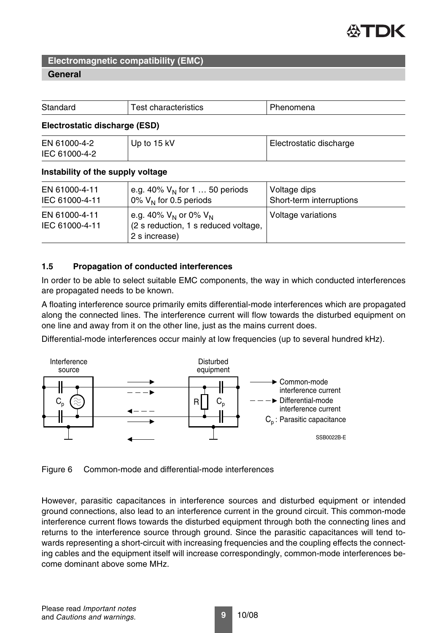

### **General**

| Standard                          | <b>Test characteristics</b>                                                         | Phenomena                                |  |
|-----------------------------------|-------------------------------------------------------------------------------------|------------------------------------------|--|
| Electrostatic discharge (ESD)     |                                                                                     |                                          |  |
| EN 61000-4-2<br>IEC 61000-4-2     | Up to 15 kV                                                                         | Electrostatic discharge                  |  |
| Instability of the supply voltage |                                                                                     |                                          |  |
| EN 61000-4-11<br>IEC 61000-4-11   | e.g. 40% $V_N$ for 1 50 periods<br>0% $V_N$ for 0.5 periods                         | Voltage dips<br>Short-term interruptions |  |
| EN 61000-4-11<br>IEC 61000-4-11   | e.g. 40% $V_N$ or 0% $V_N$<br>(2 s reduction, 1 s reduced voltage,<br>2 s increase) | Voltage variations                       |  |

### **1.5 Propagation of conducted interferences**

In order to be able to select suitable EMC components, the way in which conducted interferences are propagated needs to be known.

A floating interference source primarily emits differential-mode interferences which are propagated along the connected lines. The interference current will flow towards the disturbed equipment on one line and away from it on the other line, just as the mains current does.

Differential-mode interferences occur mainly at low frequencies (up to several hundred kHz).



Figure 6 Common-mode and differential-mode interferences

However, parasitic capacitances in interference sources and disturbed equipment or intended ground connections, also lead to an interference current in the ground circuit. This common-mode interference current flows towards the disturbed equipment through both the connecting lines and returns to the interference source through ground. Since the parasitic capacitances will tend towards representing a short-circuit with increasing frequencies and the coupling effects the connecting cables and the equipment itself will increase correspondingly, common-mode interferences become dominant above some MHz.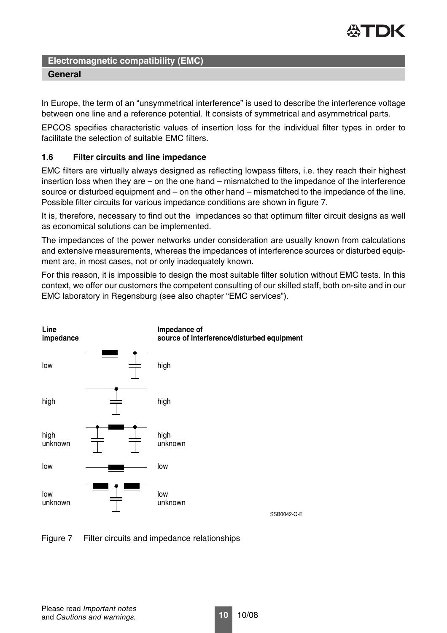

In Europe, the term of an "unsymmetrical interference" is used to describe the interference voltage between one line and a reference potential. It consists of symmetrical and asymmetrical parts.

EPCOS specifies characteristic values of insertion loss for the individual filter types in order to facilitate the selection of suitable EMC filters.

# **1.6 Filter circuits and line impedance**

EMC filters are virtually always designed as reflecting lowpass filters, i.e. they reach their highest insertion loss when they are – on the one hand – mismatched to the impedance of the interference source or disturbed equipment and – on the other hand – mismatched to the impedance of the line. Possible filter circuits for various impedance conditions are shown in [figure 7.](#page-9-0)

It is, therefore, necessary to find out the impedances so that optimum filter circuit designs as well as economical solutions can be implemented.

The impedances of the power networks under consideration are usually known from calculations and extensive measurements, whereas the impedances of interference sources or disturbed equipment are, in most cases, not or only inadequately known.

For this reason, it is impossible to design the most suitable filter solution without EMC tests. In this context, we offer our customers the competent consulting of our skilled staff, both on-site and in our EMC laboratory in Regensburg (see also chapter "EMC services").



<span id="page-9-0"></span>

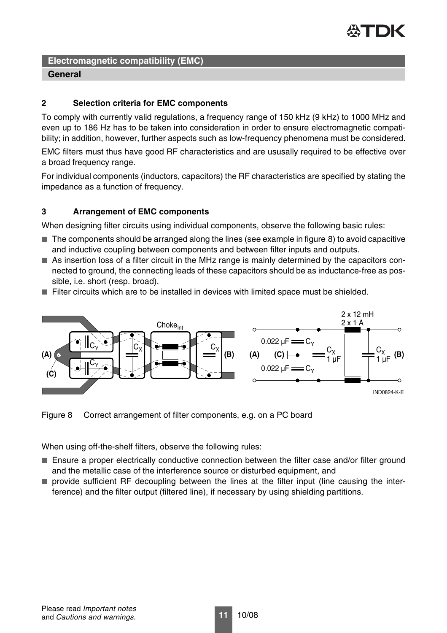

# **General**

# **2 Selection criteria for EMC components**

To comply with currently valid regulations, a frequency range of 150 kHz (9 kHz) to 1000 MHz and even up to 186 Hz has to be taken into consideration in order to ensure electromagnetic compatibility; in addition, however, further aspects such as low-frequency phenomena must be considered.

EMC filters must thus have good RF characteristics and are ususally required to be effective over a broad frequency range.

For individual components (inductors, capacitors) the RF characteristics are specified by stating the impedance as a function of frequency.

# **3 Arrangement of EMC components**

When designing filter circuits using individual components, observe the following basic rules:

- The components should be arranged along the lines (see example in [figure 8\)](#page-10-0) to avoid capacitive and inductive coupling between components and between filter inputs and outputs.
- As insertion loss of a filter circuit in the MHz range is mainly determined by the capacitors connected to ground, the connecting leads of these capacitors should be as inductance-free as possible, i.e. short (resp. broad).
- Filter circuits which are to be installed in devices with limited space must be shielded.



<span id="page-10-0"></span>Figure 8 Correct arrangement of filter components, e.g. on a PC board

When using off-the-shelf filters, observe the following rules:

- Ensure a proper electrically conductive connection between the filter case and/or filter ground and the metallic case of the interference source or disturbed equipment, and
- provide sufficient RF decoupling between the lines at the filter input (line causing the interference) and the filter output (filtered line), if necessary by using shielding partitions.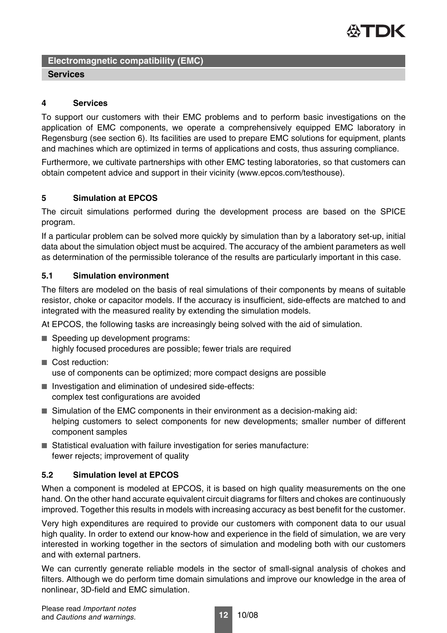

### **4 Services**

To support our customers with their EMC problems and to perform basic investigations on the application of EMC components, we operate a comprehensively equipped EMC laboratory in Regensburg (see section 6). Its facilities are used to prepare EMC solutions for equipment, plants and machines which are optimized in terms of applications and costs, thus assuring compliance.

Furthermore, we cultivate partnerships with other EMC testing laboratories, so that customers can obtain competent advice and support in their vicinity (www.epcos.com/testhouse).

# **5 Simulation at EPCOS**

The circuit simulations performed during the development process are based on the SPICE program.

If a particular problem can be solved more quickly by simulation than by a laboratory set-up, initial data about the simulation object must be acquired. The accuracy of the ambient parameters as well as determination of the permissible tolerance of the results are particularly important in this case.

### **5.1 Simulation environment**

The filters are modeled on the basis of real simulations of their components by means of suitable resistor, choke or capacitor models. If the accuracy is insufficient, side-effects are matched to and integrated with the measured reality by extending the simulation models.

At EPCOS, the following tasks are increasingly being solved with the aid of simulation.

- Speeding up development programs: highly focused procedures are possible; fewer trials are required
- Cost reduction: use of components can be optimized; more compact designs are possible
- Investigation and elimination of undesired side-effects: complex test configurations are avoided
- Simulation of the EMC components in their environment as a decision-making aid: helping customers to select components for new developments; smaller number of different component samples
- Statistical evaluation with failure investigation for series manufacture: fewer rejects; improvement of quality

# **5.2 Simulation level at EPCOS**

When a component is modeled at EPCOS, it is based on high quality measurements on the one hand. On the other hand accurate equivalent circuit diagrams for filters and chokes are continuously improved. Together this results in models with increasing accuracy as best benefit for the customer.

Very high expenditures are required to provide our customers with component data to our usual high quality. In order to extend our know-how and experience in the field of simulation, we are very interested in working together in the sectors of simulation and modeling both with our customers and with external partners.

We can currently generate reliable models in the sector of small-signal analysis of chokes and filters. Although we do perform time domain simulations and improve our knowledge in the area of nonlinear, 3D-field and EMC simulation.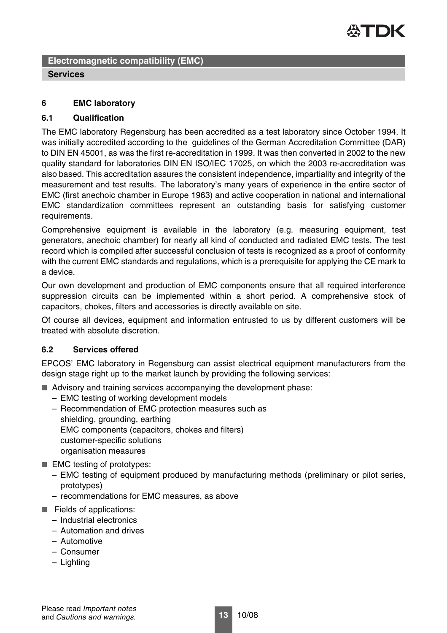

### **6 EMC laboratory**

### **6.1 Qualification**

The EMC laboratory Regensburg has been accredited as a test laboratory since October 1994. It was initially accredited according to the guidelines of the German Accreditation Committee (DAR) to DIN EN 45001, as was the first re-accreditation in 1999. It was then converted in 2002 to the new quality standard for laboratories DIN EN ISO/IEC 17025, on which the 2003 re-accreditation was also based. This accreditation assures the consistent independence, impartiality and integrity of the measurement and test results. The laboratory's many years of experience in the entire sector of EMC (first anechoic chamber in Europe 1963) and active cooperation in national and international EMC standardization committees represent an outstanding basis for satisfying customer requirements.

Comprehensive equipment is available in the laboratory (e.g. measuring equipment, test generators, anechoic chamber) for nearly all kind of conducted and radiated EMC tests. The test record which is compiled after successful conclusion of tests is recognized as a proof of conformity with the current EMC standards and regulations, which is a prerequisite for applying the CE mark to a device.

Our own development and production of EMC components ensure that all required interference suppression circuits can be implemented within a short period. A comprehensive stock of capacitors, chokes, filters and accessories is directly available on site.

Of course all devices, equipment and information entrusted to us by different customers will be treated with absolute discretion.

### **6.2 Services offered**

EPCOS' EMC laboratory in Regensburg can assist electrical equipment manufacturers from the design stage right up to the market launch by providing the following services:

- Advisory and training services accompanying the development phase:
	- EMC testing of working development models
	- Recommendation of EMC protection measures such as shielding, grounding, earthing EMC components (capacitors, chokes and filters) customer-specific solutions organisation measures
- EMC testing of prototypes:
	- EMC testing of equipment produced by manufacturing methods (preliminary or pilot series, prototypes)
	- recommendations for EMC measures, as above
- Fields of applications:
	- Industrial electronics
	- Automation and drives
	- Automotive
	- Consumer
	- Lighting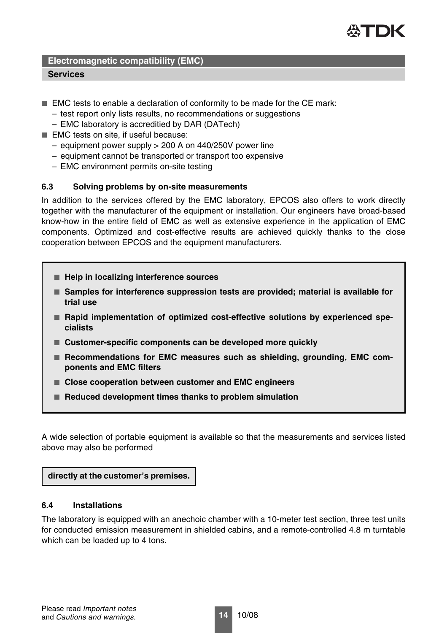

### **Services**

- EMC tests to enable a declaration of conformity to be made for the CE mark:
	- test report only lists results, no recommendations or suggestions
	- EMC laboratory is accreditied by DAR (DATech)
- EMC tests on site, if useful because:
	- equipment power supply > 200 A on 440/250V power line
	- equipment cannot be transported or transport too expensive
	- EMC environment permits on-site testing

### **6.3 Solving problems by on-site measurements**

In addition to the services offered by the EMC laboratory, EPCOS also offers to work directly together with the manufacturer of the equipment or installation. Our engineers have broad-based know-how in the entire field of EMC as well as extensive experience in the application of EMC components. Optimized and cost-effective results are achieved quickly thanks to the close cooperation between EPCOS and the equipment manufacturers.

- Help in localizing interference sources
- Samples for interference suppression tests are provided; material is available for **trial use**
- Rapid implementation of optimized cost-effective solutions by experienced spe**cialists**
- Customer-specific components can be developed more quickly
- Recommendations for EMC measures such as shielding, grounding, EMC com**ponents and EMC filters**
- Close cooperation between customer and EMC engineers
- **Reduced development times thanks to problem simulation**

A wide selection of portable equipment is available so that the measurements and services listed above may also be performed

**directly at the customer's premises.**

### **6.4 Installations**

The laboratory is equipped with an anechoic chamber with a 10-meter test section, three test units for conducted emission measurement in shielded cabins, and a remote-controlled 4.8 m turntable which can be loaded up to 4 tons.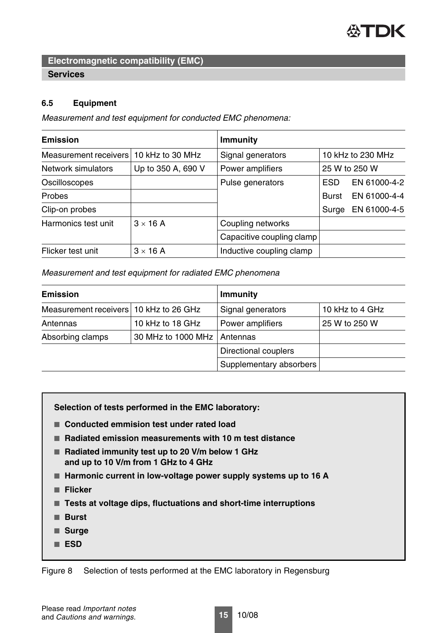

### **6.5 Equipment**

*Measurement and test equipment for conducted EMC phenomena:*

| <b>Emission</b>                           |                    | <b>Immunity</b>           |                   |              |
|-------------------------------------------|--------------------|---------------------------|-------------------|--------------|
| Measurement receivers<br>10 kHz to 30 MHz |                    | Signal generators         | 10 kHz to 230 MHz |              |
| Network simulators                        | Up to 350 A, 690 V | Power amplifiers          | 25 W to 250 W     |              |
| Oscilloscopes                             |                    | Pulse generators          | <b>ESD</b>        | EN 61000-4-2 |
| <b>Probes</b>                             |                    |                           | <b>Burst</b>      | EN 61000-4-4 |
| Clip-on probes                            |                    |                           | Surge             | EN 61000-4-5 |
| Harmonics test unit                       | $3 \times 16$ A    | Coupling networks         |                   |              |
|                                           |                    | Capacitive coupling clamp |                   |              |
| Flicker test unit                         | $3 \times 16$ A    | Inductive coupling clamp  |                   |              |

*Measurement and test equipment for radiated EMC phenomena*

| <b>Emission</b>                        |                    | <b>Immunity</b>         |                 |  |
|----------------------------------------|--------------------|-------------------------|-----------------|--|
| Measurement receivers 10 kHz to 26 GHz |                    | Signal generators       | 10 kHz to 4 GHz |  |
| Antennas                               | 10 kHz to 18 GHz   | Power amplifiers        | 25 W to 250 W   |  |
| Absorbing clamps                       | 30 MHz to 1000 MHz | Antennas                |                 |  |
|                                        |                    | Directional couplers    |                 |  |
|                                        |                    | Supplementary absorbers |                 |  |

**Selection of tests performed in the EMC laboratory:**

- **Conducted emmision test under rated load**
- **Radiated emission measurements with 10 m test distance**
- **Radiated immunity test up to 20 V/m below 1 GHz and up to 10 V/m from 1 GHz to 4 GHz**
- Harmonic current in low-voltage power supply systems up to 16 A
- **Flicker**
- **Tests at voltage dips, fluctuations and short-time interruptions**
- **Burst**
- **Surge**
- **ESD**

Figure 8 Selection of tests performed at the EMC laboratory in Regensburg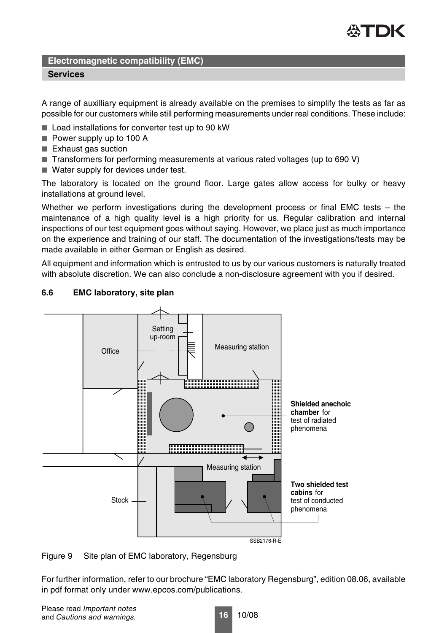

### **Services**

A range of auxilliary equipment is already available on the premises to simplify the tests as far as possible for our customers while still performing measurements under real conditions. These include:

- Load installations for converter test up to 90 kW
- Power supply up to 100 A
- Exhaust gas suction
- Transformers for performing measurements at various rated voltages (up to 690 V)
- Water supply for devices under test.

The laboratory is located on the ground floor. Large gates allow access for bulky or heavy installations at ground level.

Whether we perform investigations during the development process or final EMC tests – the maintenance of a high quality level is a high priority for us. Regular calibration and internal inspections of our test equipment goes without saying. However, we place just as much importance on the experience and training of our staff. The documentation of the investigations/tests may be made available in either German or English as desired.

All equipment and information which is entrusted to us by our various customers is naturally treated with absolute discretion. We can also conclude a non-disclosure agreement with you if desired.



# **6.6 EMC laboratory, site plan**

Figure 9 Site plan of EMC laboratory, Regensburg

For further information, refer to our brochure "EMC laboratory Regensburg", edition 08.06, available in pdf format only under www.epcos.com/publications.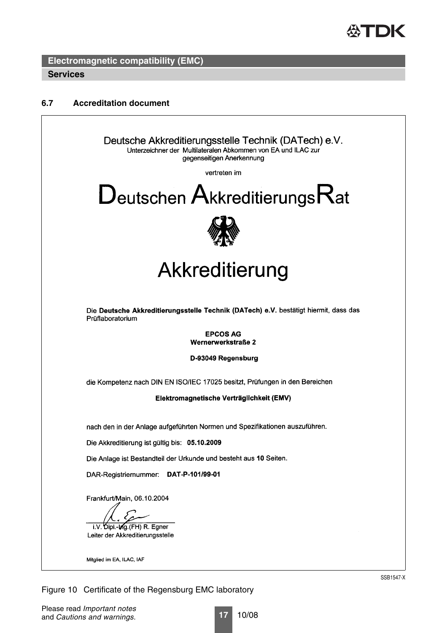

### **6.7 Accreditation document**



Figure 10 Certificate of the Regensburg EMC laboratory

SSB1547-X

**17** 10/08